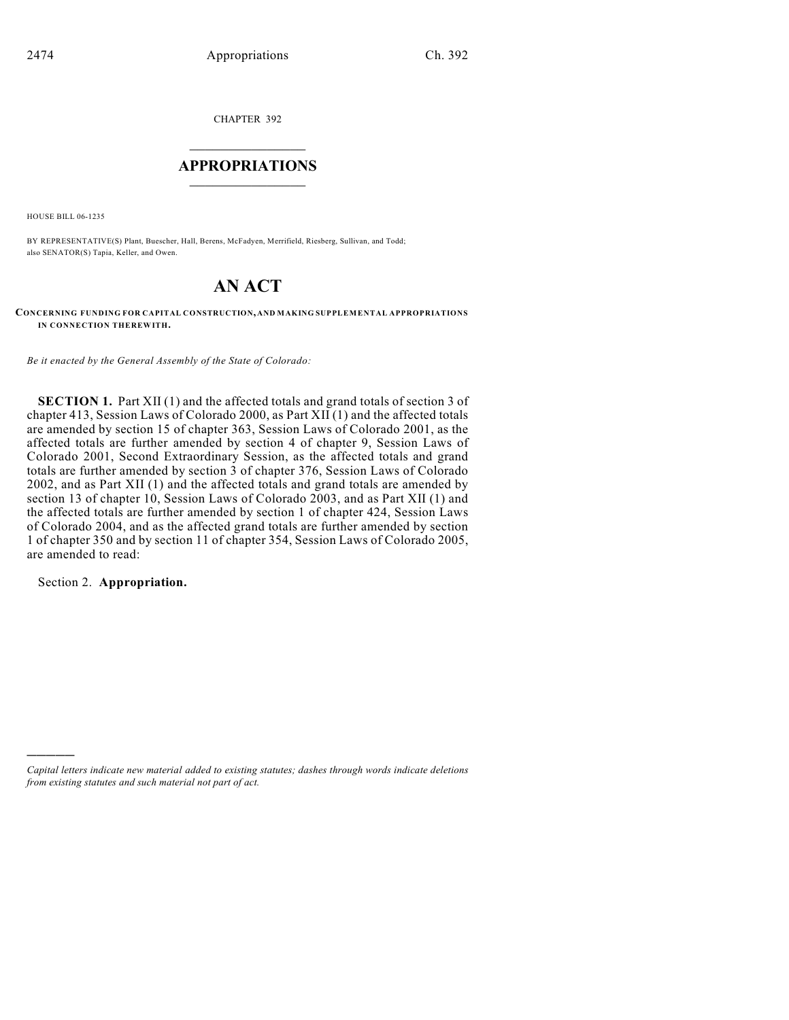CHAPTER 392

# $\mathcal{L}_\text{max}$  . The set of the set of the set of the set of the set of the set of the set of the set of the set of the set of the set of the set of the set of the set of the set of the set of the set of the set of the set **APPROPRIATIONS**  $\_$   $\_$   $\_$   $\_$   $\_$   $\_$   $\_$   $\_$

HOUSE BILL 06-1235

BY REPRESENTATIVE(S) Plant, Buescher, Hall, Berens, McFadyen, Merrifield, Riesberg, Sullivan, and Todd; also SENATOR(S) Tapia, Keller, and Owen.

# **AN ACT**

**CONCERNING FUNDING FOR CAPITAL CONSTRUCTION, AND MAKING SUPPLEMENTAL APPROPRIATIONS IN CONNECTION THEREWITH.**

*Be it enacted by the General Assembly of the State of Colorado:*

**SECTION 1.** Part XII (1) and the affected totals and grand totals of section 3 of chapter 413, Session Laws of Colorado 2000, as Part XII (1) and the affected totals are amended by section 15 of chapter 363, Session Laws of Colorado 2001, as the affected totals are further amended by section 4 of chapter 9, Session Laws of Colorado 2001, Second Extraordinary Session, as the affected totals and grand totals are further amended by section 3 of chapter 376, Session Laws of Colorado 2002, and as Part XII (1) and the affected totals and grand totals are amended by section 13 of chapter 10, Session Laws of Colorado 2003, and as Part XII (1) and the affected totals are further amended by section 1 of chapter 424, Session Laws of Colorado 2004, and as the affected grand totals are further amended by section 1 of chapter 350 and by section 11 of chapter 354, Session Laws of Colorado 2005, are amended to read:

Section 2. **Appropriation.**

)))))

*Capital letters indicate new material added to existing statutes; dashes through words indicate deletions from existing statutes and such material not part of act.*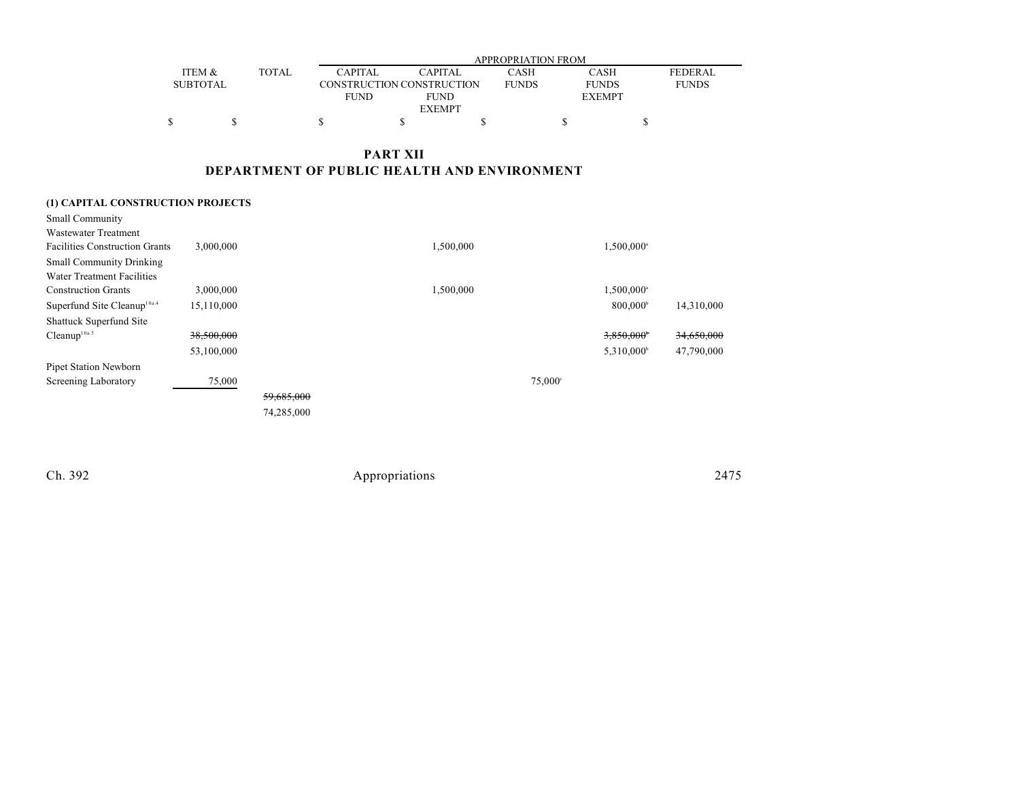|                 |              |                | APPROPRIATION FROM        |              |               |              |  |  |  |
|-----------------|--------------|----------------|---------------------------|--------------|---------------|--------------|--|--|--|
| ITEM &          | <b>TOTAL</b> | <b>CAPITAL</b> | <b>CAPITAL</b>            | CASH         | <b>CASH</b>   | FEDERAL      |  |  |  |
| <b>SUBTOTAL</b> |              |                | CONSTRUCTION CONSTRUCTION | <b>FUNDS</b> | <b>FUNDS</b>  | <b>FUNDS</b> |  |  |  |
|                 |              | <b>FUND</b>    | <b>FUND</b>               |              | <b>EXEMPT</b> |              |  |  |  |
|                 |              |                | <b>EXEMPT</b>             |              |               |              |  |  |  |
|                 |              |                |                           |              |               |              |  |  |  |

**PART XII DEPARTMENT OF PUBLIC HEALTH AND ENVIRONMENT**

## **(1) CAPITAL CONSTRUCTION PROJECTS**

| <b>Small Community</b><br><b>Wastewater Treatment</b><br><b>Facilities Construction Grants</b> | 3,000,000  |            | 1,500,000 |                  | 1,500,000 <sup>a</sup>   |            |
|------------------------------------------------------------------------------------------------|------------|------------|-----------|------------------|--------------------------|------------|
| <b>Small Community Drinking</b>                                                                |            |            |           |                  |                          |            |
| Water Treatment Facilities                                                                     |            |            |           |                  |                          |            |
| <b>Construction Grants</b>                                                                     | 3,000,000  |            | 1,500,000 |                  | $1,500,000$ <sup>a</sup> |            |
| Superfund Site Cleanup <sup>10a.4</sup>                                                        | 15,110,000 |            |           |                  | $800,000^{\circ}$        | 14,310,000 |
| Shattuck Superfund Site                                                                        |            |            |           |                  |                          |            |
| Cleanup <sup>10a.5</sup>                                                                       | 38,500,000 |            |           |                  | 3,850,000*               | 34,650,000 |
|                                                                                                | 53,100,000 |            |           |                  | $5,310,000^{\circ}$      | 47,790,000 |
| Pipet Station Newborn                                                                          |            |            |           |                  |                          |            |
| Screening Laboratory                                                                           | 75,000     |            |           | $75,000^{\circ}$ |                          |            |
|                                                                                                |            | 59,685,000 |           |                  |                          |            |
|                                                                                                |            | 74,285,000 |           |                  |                          |            |
|                                                                                                |            |            |           |                  |                          |            |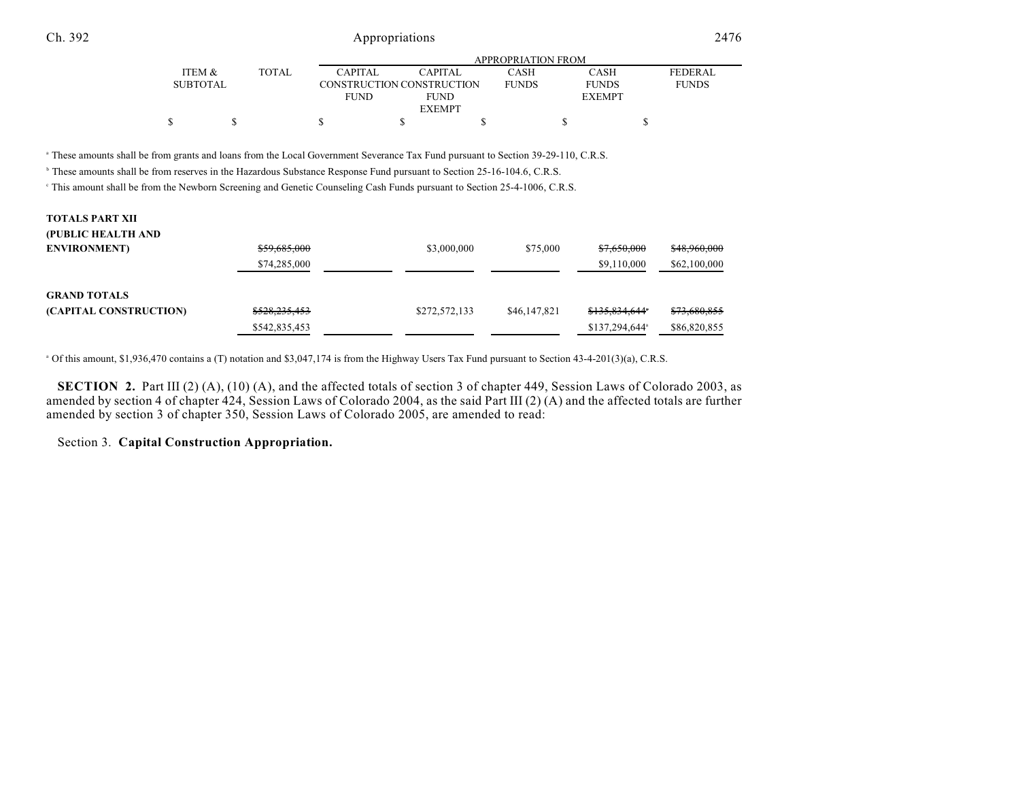|                 |              |                | APPROPRIATION FROM        |              |               |                |  |  |  |
|-----------------|--------------|----------------|---------------------------|--------------|---------------|----------------|--|--|--|
| ITEM &          | <b>TOTAL</b> | <b>CAPITAL</b> | <b>CAPITAL</b>            | CASH         | CASH          | <b>FEDERAL</b> |  |  |  |
| <b>SUBTOTAL</b> |              |                | CONSTRUCTION CONSTRUCTION | <b>FUNDS</b> | <b>FUNDS</b>  | <b>FUNDS</b>   |  |  |  |
|                 |              | <b>FUND</b>    | <b>FUND</b>               |              | <b>EXEMPT</b> |                |  |  |  |
|                 |              |                | <b>EXEMPT</b>             |              |               |                |  |  |  |
|                 |              |                |                           |              |               |                |  |  |  |

<sup>a</sup> These amounts shall be from grants and loans from the Local Government Severance Tax Fund pursuant to Section 39-29-110, C.R.S.

<sup>b</sup> These amounts shall be from reserves in the Hazardous Substance Response Fund pursuant to Section 25-16-104.6, C.R.S.

<sup>e</sup> This amount shall be from the Newborn Screening and Genetic Counseling Cash Funds pursuant to Section 25-4-1006, C.R.S.

| <b>TOTALS PART XII</b> |               |               |              |                |              |
|------------------------|---------------|---------------|--------------|----------------|--------------|
| (PUBLIC HEALTH AND     |               |               |              |                |              |
| <b>ENVIRONMENT</b> )   | \$59,685,000  | \$3,000,000   | \$75,000     | \$7,650,000    | \$48,960,000 |
|                        | \$74,285,000  |               |              | \$9,110,000    | \$62,100,000 |
| <b>GRAND TOTALS</b>    |               |               |              |                |              |
| (CAPITAL CONSTRUCTION) | \$528,235,453 | \$272,572,133 | \$46,147,821 | \$135,834,644* | \$73,680,855 |
|                        | \$542,835,453 |               |              | \$137,294,644  | \$86,820,855 |

Of this amount, \$1,936,470 contains a (T) notation and \$3,047,174 is from the Highway Users Tax Fund pursuant to Section 43-4-201(3)(a), C.R.S. <sup>a</sup>

**SECTION 2.** Part III (2) (A), (10) (A), and the affected totals of section 3 of chapter 449, Session Laws of Colorado 2003, as amended by section 4 of chapter 424, Session Laws of Colorado 2004, as the said Part III (2) (A) and the affected totals are further amended by section 3 of chapter 350, Session Laws of Colorado 2005, are amended to read:

Section 3. **Capital Construction Appropriation.**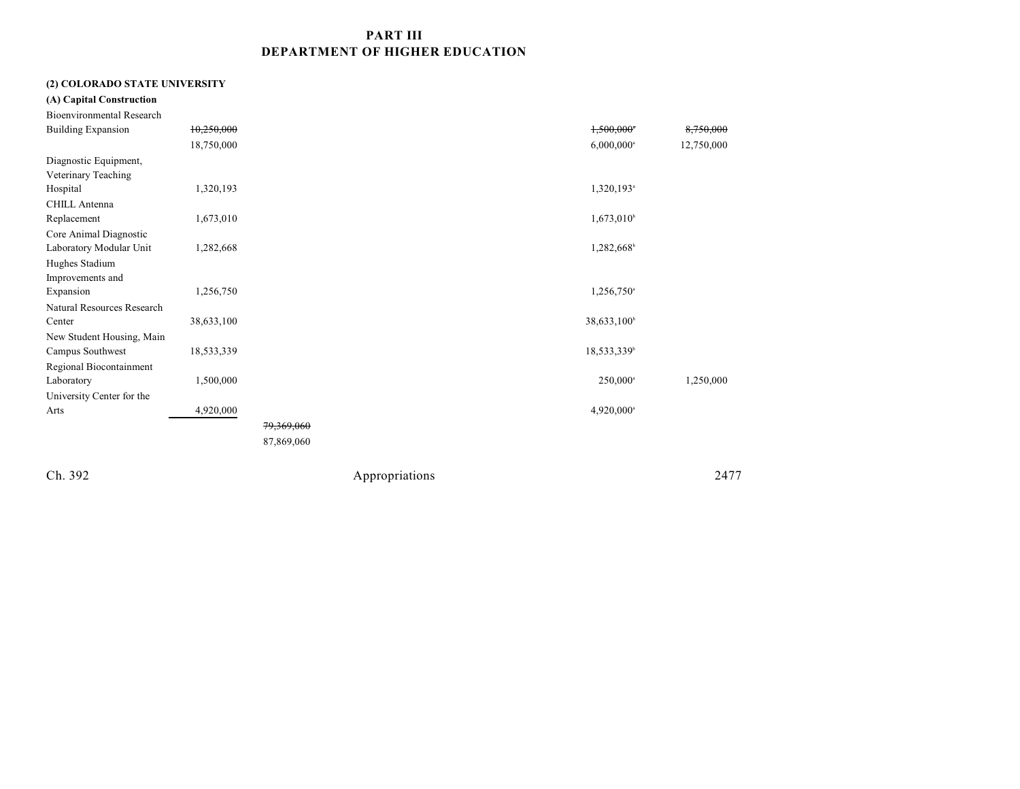## **PART III DEPARTMENT OF HIGHER EDUCATION**

#### **(2) COLORADO STATE UNIVERSITY**

| (A) Capital Construction         |            |            |                          |            |
|----------------------------------|------------|------------|--------------------------|------------|
| <b>Bioenvironmental Research</b> |            |            |                          |            |
| <b>Building Expansion</b>        | 10,250,000 |            | 1,500,000                | 8,750,000  |
|                                  | 18,750,000 |            | $6,000,000$ <sup>a</sup> | 12,750,000 |
| Diagnostic Equipment,            |            |            |                          |            |
| Veterinary Teaching              |            |            |                          |            |
| Hospital                         | 1,320,193  |            | 1,320,193 <sup>a</sup>   |            |
| <b>CHILL Antenna</b>             |            |            |                          |            |
| Replacement                      | 1,673,010  |            | $1,673,010^b$            |            |
| Core Animal Diagnostic           |            |            |                          |            |
| Laboratory Modular Unit          | 1,282,668  |            | 1,282,668                |            |
| Hughes Stadium                   |            |            |                          |            |
| Improvements and                 |            |            |                          |            |
| Expansion                        | 1,256,750  |            | $1,256,750$ <sup>a</sup> |            |
| Natural Resources Research       |            |            |                          |            |
| Center                           | 38,633,100 |            | 38,633,100 <sup>b</sup>  |            |
| New Student Housing, Main        |            |            |                          |            |
| Campus Southwest                 | 18,533,339 |            | 18,533,339 <sup>b</sup>  |            |
| Regional Biocontainment          |            |            |                          |            |
| Laboratory                       | 1,500,000  |            | 250,000 <sup>a</sup>     | 1,250,000  |
| University Center for the        |            |            |                          |            |
| Arts                             | 4,920,000  |            | 4,920,000 <sup>a</sup>   |            |
|                                  |            | 79,369,060 |                          |            |
|                                  |            | 87,869,060 |                          |            |
|                                  |            |            |                          |            |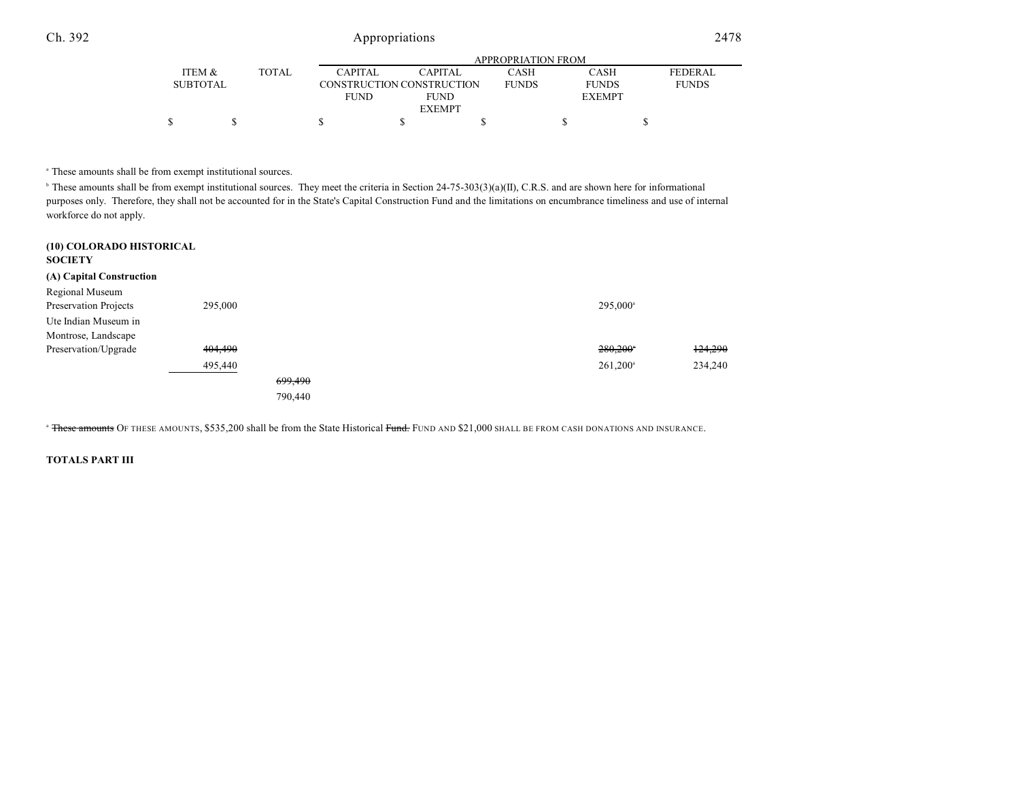|                 |       |             | APPROPRIATION FROM        |              |               |                |  |  |  |
|-----------------|-------|-------------|---------------------------|--------------|---------------|----------------|--|--|--|
| ITEM &          | TOTAL | CAPITAL     | <b>CAPITAL</b>            | CASH         | CASH          | <b>FEDERAL</b> |  |  |  |
| <b>SUBTOTAL</b> |       |             | CONSTRUCTION CONSTRUCTION | <b>FUNDS</b> | <b>FUNDS</b>  | <b>FUNDS</b>   |  |  |  |
|                 |       | <b>FUND</b> | <b>FUND</b>               |              | <b>EXEMPT</b> |                |  |  |  |
|                 |       |             | <b>EXEMPT</b>             |              |               |                |  |  |  |
|                 |       |             |                           |              |               |                |  |  |  |

<sup>a</sup> These amounts shall be from exempt institutional sources.

 $\mu$  These amounts shall be from exempt institutional sources. They meet the criteria in Section 24-75-303(3)(a)(II), C.R.S. and are shown here for informational purposes only. Therefore, they shall not be accounted for in the State's Capital Construction Fund and the limitations on encumbrance timeliness and use of internal workforce do not apply.

| (10) COLORADO HISTORICAL<br><b>SOCIETY</b> |         |         |  |                      |         |
|--------------------------------------------|---------|---------|--|----------------------|---------|
| (A) Capital Construction                   |         |         |  |                      |         |
| Regional Museum                            |         |         |  |                      |         |
| Preservation Projects                      | 295,000 |         |  | 295,000 <sup>a</sup> |         |
| Ute Indian Museum in                       |         |         |  |                      |         |
| Montrose, Landscape                        |         |         |  |                      |         |
| Preservation/Upgrade                       | 404,490 |         |  | 280,200              | 124,290 |
|                                            | 495,440 |         |  | $261,200^{\circ}$    | 234,240 |
|                                            |         | 699,490 |  |                      |         |
|                                            |         | 790,440 |  |                      |         |

<sup>a</sup> <del>These amounts</del> Of these amounts, \$535,200 shall be from the State Historical <del>Fund.</del> Fund and \$21,000 shall be from cash donations and insurance.

#### **TOTALS PART III**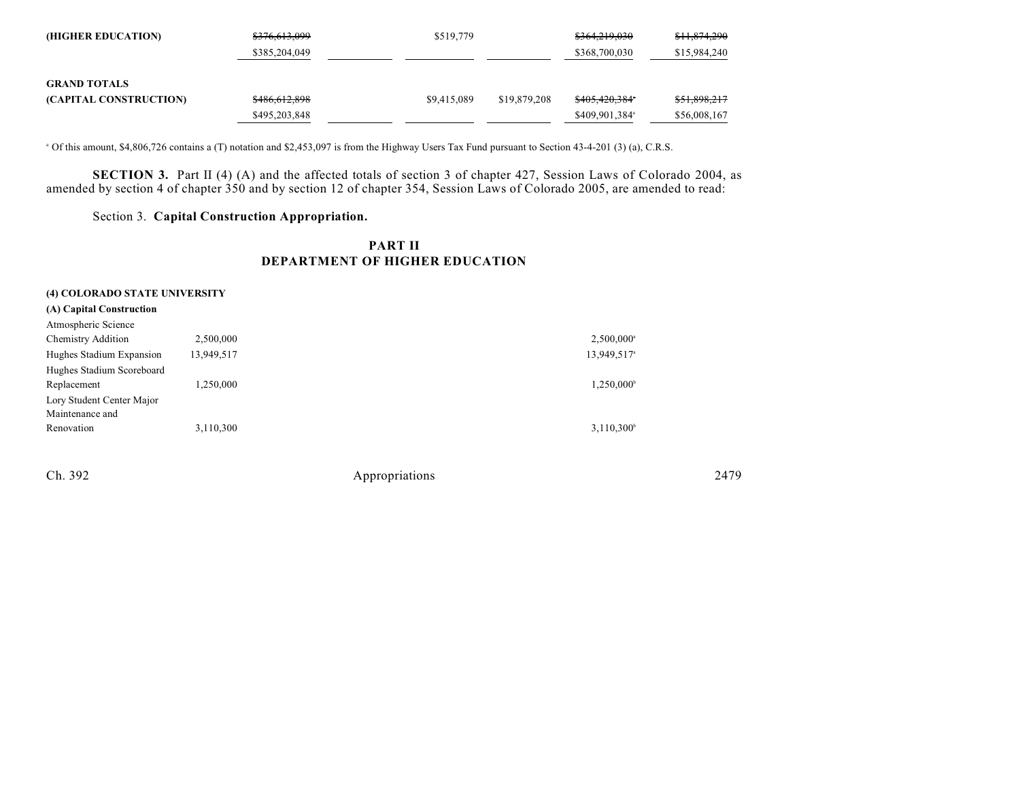| (HIGHER EDUCATION)     | \$376,613,099 | \$519,779   |              | \$364,219,030              | <del>\$11,874,290</del> |
|------------------------|---------------|-------------|--------------|----------------------------|-------------------------|
|                        | \$385,204,049 |             |              | \$368,700,030              | \$15,984,240            |
|                        |               |             |              |                            |                         |
| <b>GRAND TOTALS</b>    |               |             |              |                            |                         |
| (CAPITAL CONSTRUCTION) | \$486,612,898 | \$9,415,089 | \$19,879,208 | <del>\$405.420.384</del> * | \$51,898,217            |
|                        | \$495,203,848 |             |              | \$409,901,384 <sup>a</sup> | \$56,008,167            |

Of this amount, \$4,806,726 contains a (T) notation and \$2,453,097 is from the Highway Users Tax Fund pursuant to Section 43-4-201 (3) (a), C.R.S. <sup>a</sup>

**SECTION 3.** Part II (4) (A) and the affected totals of section 3 of chapter 427, Session Laws of Colorado 2004, as amended by section 4 of chapter 350 and by section 12 of chapter 354, Session Laws of Colorado 2005, are amended to read:

Section 3. **Capital Construction Appropriation.**

## **PART II DEPARTMENT OF HIGHER EDUCATION**

| (4) COLORADO STATE UNIVERSITY |            |                         |
|-------------------------------|------------|-------------------------|
| (A) Capital Construction      |            |                         |
| Atmospheric Science           |            |                         |
| <b>Chemistry Addition</b>     | 2,500,000  | $2,500,000^{\circ}$     |
| Hughes Stadium Expansion      | 13,949,517 | 13,949,517 <sup>a</sup> |
| Hughes Stadium Scoreboard     |            |                         |
| Replacement                   | 1,250,000  | 1,250,000               |
| Lory Student Center Major     |            |                         |
| Maintenance and               |            |                         |
| Renovation                    | 3,110,300  | $3,110,300^{\circ}$     |
|                               |            |                         |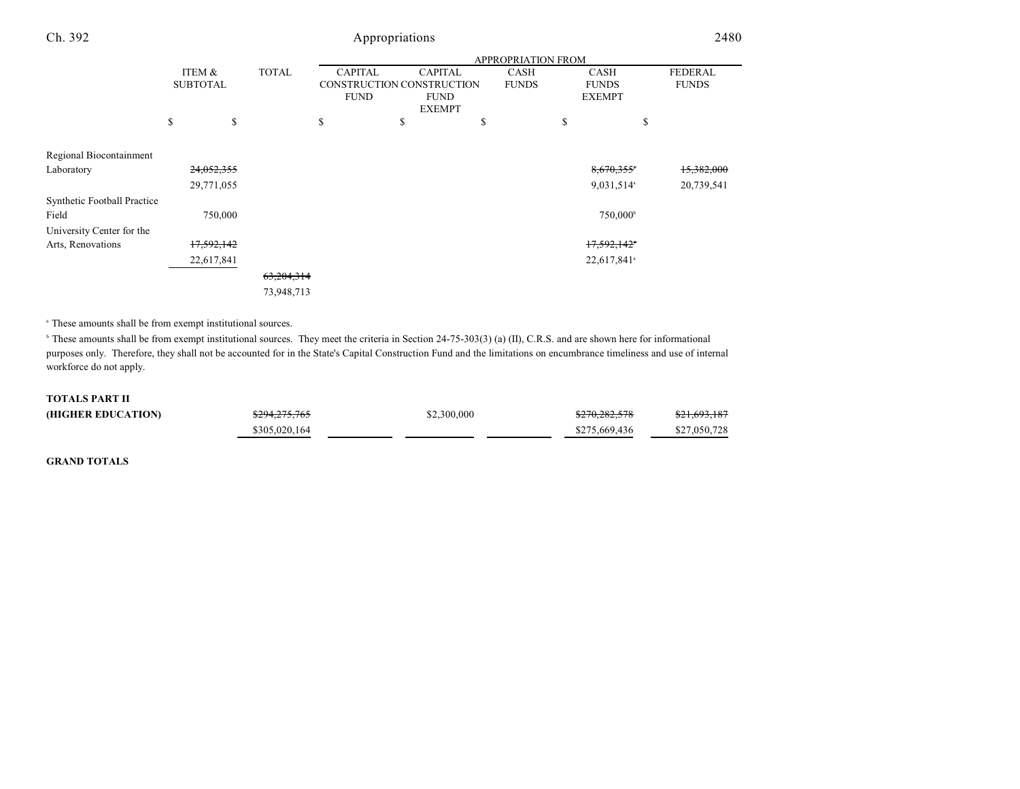| Ch. 392                     |                 |         |              |                                          | Appropriations               |                    |                               | 2480                  |
|-----------------------------|-----------------|---------|--------------|------------------------------------------|------------------------------|--------------------|-------------------------------|-----------------------|
|                             |                 |         |              |                                          |                              | APPROPRIATION FROM |                               |                       |
|                             | ITEM &          |         | <b>TOTAL</b> | <b>CAPITAL</b>                           | <b>CAPITAL</b>               | <b>CASH</b>        | <b>CASH</b>                   | <b>FEDERAL</b>        |
|                             | <b>SUBTOTAL</b> |         |              | CONSTRUCTION CONSTRUCTION<br><b>FUND</b> | <b>FUND</b><br><b>EXEMPT</b> | <b>FUNDS</b>       | <b>FUNDS</b><br><b>EXEMPT</b> | <b>FUNDS</b>          |
|                             | \$              | \$      |              | \$                                       | \$                           | \$                 | \$<br>\$                      |                       |
| Regional Biocontainment     |                 |         |              |                                          |                              |                    |                               |                       |
| Laboratory                  | 24,052,355      |         |              |                                          |                              |                    | 8,670,355                     | <del>15,382,000</del> |
|                             | 29,771,055      |         |              |                                          |                              |                    | 9,031,514 <sup>a</sup>        | 20,739,541            |
| Synthetic Football Practice |                 |         |              |                                          |                              |                    |                               |                       |
| Field                       |                 | 750,000 |              |                                          |                              |                    | 750,000 <sup>b</sup>          |                       |
| University Center for the   |                 |         |              |                                          |                              |                    |                               |                       |
| Arts, Renovations           | 17,592,142      |         |              |                                          |                              |                    | 17,592,142*                   |                       |
|                             | 22,617,841      |         |              |                                          |                              |                    | 22,617,841 <sup>a</sup>       |                       |
|                             |                 |         | 63,204,314   |                                          |                              |                    |                               |                       |
|                             |                 |         | 73,948,713   |                                          |                              |                    |                               |                       |

<sup>a</sup> These amounts shall be from exempt institutional sources.

<sup>b</sup> These amounts shall be from exempt institutional sources. They meet the criteria in Section 24-75-303(3) (a) (II), C.R.S. and are shown here for informational purposes only. Therefore, they shall not be accounted for in the State's Capital Construction Fund and the limitations on encumbrance timeliness and use of internal workforce do not apply.

#### **TOTALS PART II**

| (HIGHER EDUCATION) | \$294,275,765 | \$2,300,000 | \$270,282,578 | \$21,693,187 |
|--------------------|---------------|-------------|---------------|--------------|
|                    | \$305,020,164 |             | \$275,669,436 | \$27,050,728 |

**GRAND TOTALS**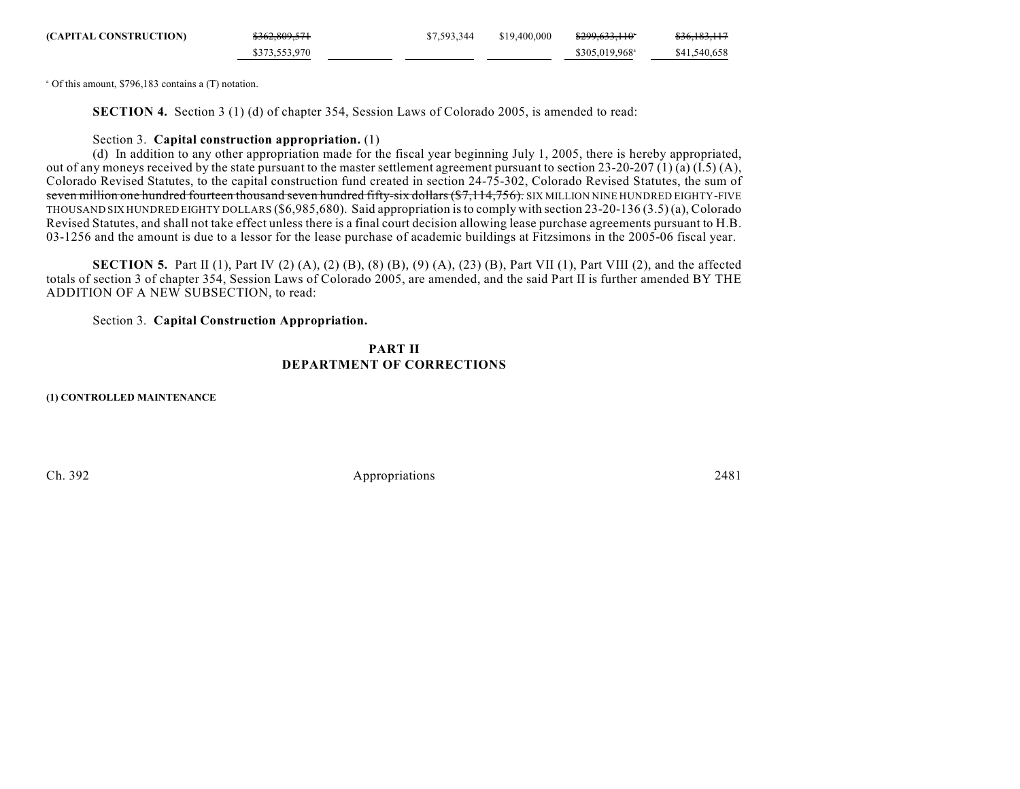| (CAPITAL CONSTRUCTION) | \$362,809,571 | \$7,593,344 | \$19,400,000 | <del>\$299.633.110</del> * | <del>\$36,183,117</del> |
|------------------------|---------------|-------------|--------------|----------------------------|-------------------------|
|                        | \$373,553,970 |             |              | \$305,019,968 <sup>a</sup> | \$41,540,658            |

 $^{\circ}$  Of this amount, \$796,183 contains a (T) notation.

**SECTION 4.** Section 3 (1) (d) of chapter 354, Session Laws of Colorado 2005, is amended to read:

#### Section 3. **Capital construction appropriation.** (1)

(d) In addition to any other appropriation made for the fiscal year beginning July 1, 2005, there is hereby appropriated, out of any moneys received by the state pursuant to the master settlement agreement pursuant to section 23-20-207 (1) (a) (I.5) (A), Colorado Revised Statutes, to the capital construction fund created in section 24-75-302, Colorado Revised Statutes, the sum of seven million one hundred fourteen thousand seven hundred fifty-six dollars (\$7,114,756). SIX MILLION NINE HUNDRED EIGHTY-FIVE THOUSAND SIX HUNDRED EIGHTY DOLLARS (\$6,985,680). Said appropriation is to comply with section 23-20-136 (3.5) (a), Colorado Revised Statutes, and shall not take effect unless there is a final court decision allowing lease purchase agreements pursuant to H.B. 03-1256 and the amount is due to a lessor for the lease purchase of academic buildings at Fitzsimons in the 2005-06 fiscal year.

**SECTION 5.** Part II (1), Part IV (2) (A), (2) (B), (8) (B), (9) (A), (23) (B), Part VII (1), Part VIII (2), and the affected totals of section 3 of chapter 354, Session Laws of Colorado 2005, are amended, and the said Part II is further amended BY THE ADDITION OF A NEW SUBSECTION, to read:

Section 3. **Capital Construction Appropriation.**

### **PART II DEPARTMENT OF CORRECTIONS**

**(1) CONTROLLED MAINTENANCE**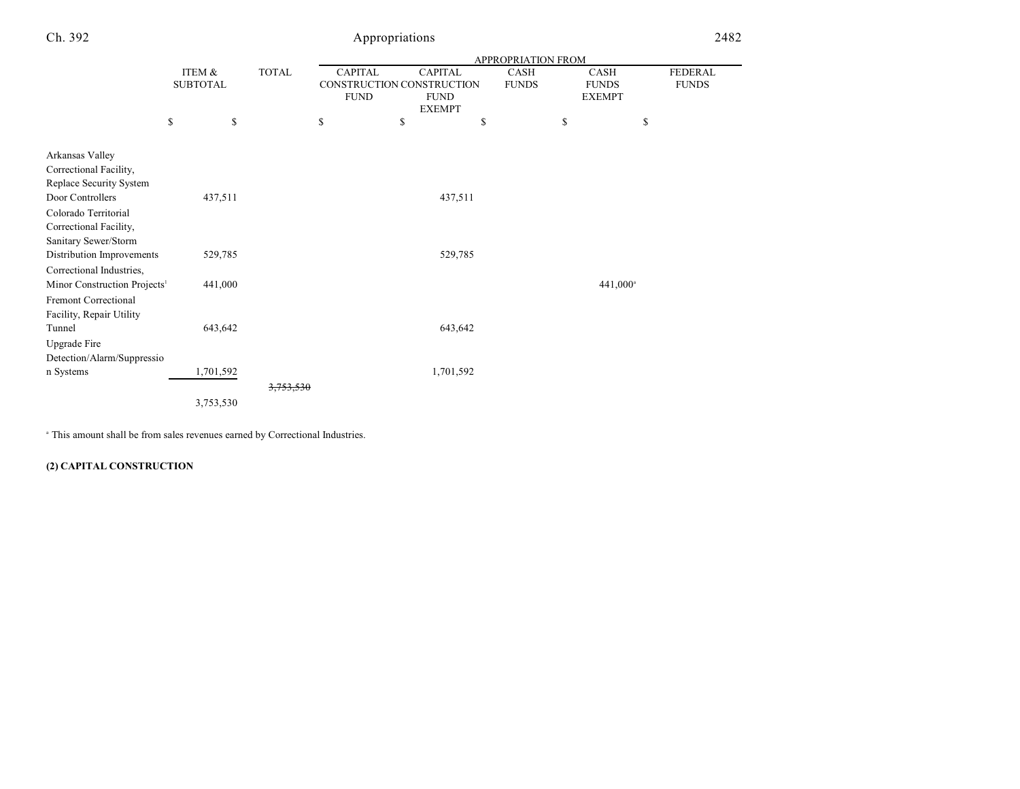|                                          |                           |                                                                            | <b>APPROPRIATION FROM</b> |                                                |                      |  |                                              |                                |  |
|------------------------------------------|---------------------------|----------------------------------------------------------------------------|---------------------------|------------------------------------------------|----------------------|--|----------------------------------------------|--------------------------------|--|
|                                          | ITEM &<br><b>SUBTOTAL</b> | <b>TOTAL</b><br><b>CAPITAL</b><br>CONSTRUCTION CONSTRUCTION<br><b>FUND</b> |                           | <b>CAPITAL</b><br><b>FUND</b><br><b>EXEMPT</b> | CASH<br><b>FUNDS</b> |  | <b>CASH</b><br><b>FUNDS</b><br><b>EXEMPT</b> | <b>FEDERAL</b><br><b>FUNDS</b> |  |
|                                          | \$<br>\$                  |                                                                            | \$                        | \$                                             | \$                   |  | \$                                           | \$                             |  |
| Arkansas Valley                          |                           |                                                                            |                           |                                                |                      |  |                                              |                                |  |
| Correctional Facility,                   |                           |                                                                            |                           |                                                |                      |  |                                              |                                |  |
| Replace Security System                  |                           |                                                                            |                           |                                                |                      |  |                                              |                                |  |
| Door Controllers                         | 437,511                   |                                                                            |                           |                                                | 437,511              |  |                                              |                                |  |
| Colorado Territorial                     |                           |                                                                            |                           |                                                |                      |  |                                              |                                |  |
| Correctional Facility,                   |                           |                                                                            |                           |                                                |                      |  |                                              |                                |  |
| Sanitary Sewer/Storm                     |                           |                                                                            |                           |                                                |                      |  |                                              |                                |  |
| Distribution Improvements                | 529,785                   |                                                                            |                           |                                                | 529,785              |  |                                              |                                |  |
| Correctional Industries,                 |                           |                                                                            |                           |                                                |                      |  |                                              |                                |  |
| Minor Construction Projects <sup>1</sup> | 441,000                   |                                                                            |                           |                                                |                      |  |                                              | 441,000 <sup>a</sup>           |  |
| <b>Fremont Correctional</b>              |                           |                                                                            |                           |                                                |                      |  |                                              |                                |  |
| Facility, Repair Utility                 |                           |                                                                            |                           |                                                |                      |  |                                              |                                |  |
| Tunnel                                   | 643,642                   |                                                                            |                           |                                                | 643,642              |  |                                              |                                |  |
| Upgrade Fire                             |                           |                                                                            |                           |                                                |                      |  |                                              |                                |  |
| Detection/Alarm/Suppressio               |                           |                                                                            |                           |                                                |                      |  |                                              |                                |  |
| n Systems                                | 1,701,592                 |                                                                            |                           |                                                | 1,701,592            |  |                                              |                                |  |
|                                          |                           | <del>3,753,530</del>                                                       |                           |                                                |                      |  |                                              |                                |  |
|                                          | 3,753,530                 |                                                                            |                           |                                                |                      |  |                                              |                                |  |
|                                          |                           |                                                                            |                           |                                                |                      |  |                                              |                                |  |

 $^{\circ}$  This amount shall be from sales revenues earned by Correctional Industries.

## **(2) CAPITAL CONSTRUCTION**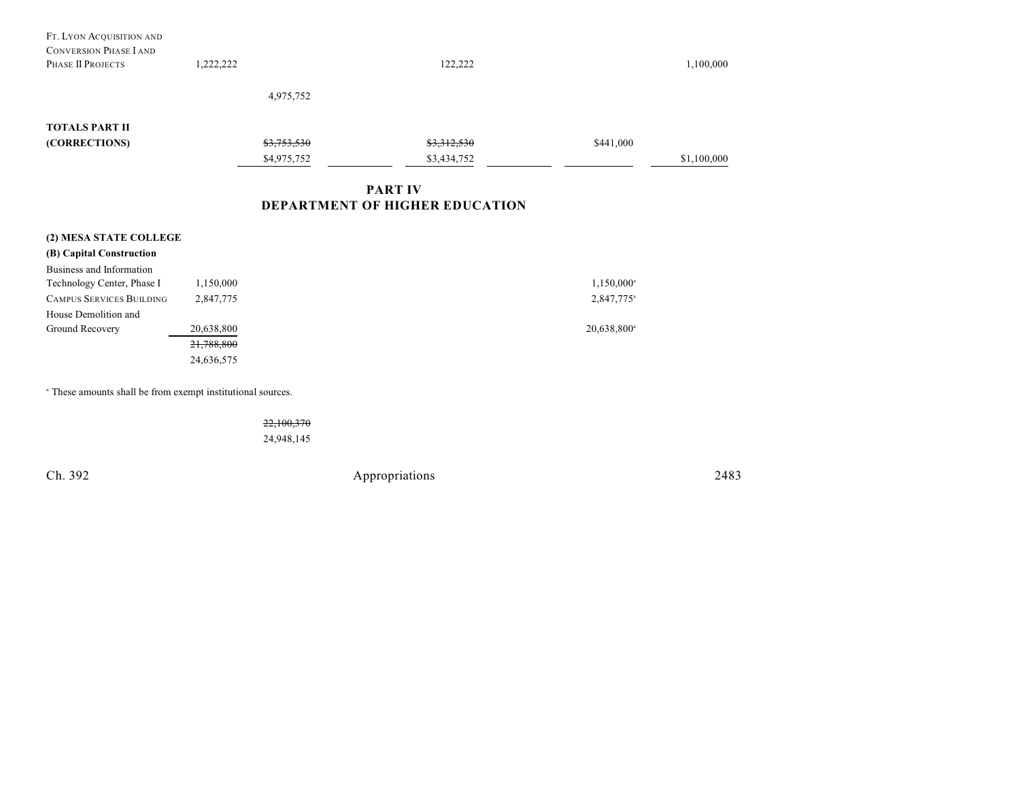| FT. LYON ACQUISITION AND<br><b>CONVERSION PHASE I AND</b><br>PHASE II PROJECTS | 1,222,222  |             | 122,222     |                         | 1,100,000   |  |  |
|--------------------------------------------------------------------------------|------------|-------------|-------------|-------------------------|-------------|--|--|
|                                                                                |            | 4,975,752   |             |                         |             |  |  |
| <b>TOTALS PART II</b>                                                          |            |             |             |                         |             |  |  |
| (CORRECTIONS)                                                                  |            | \$3,753,530 | \$3,312,530 | \$441,000               |             |  |  |
|                                                                                |            | \$4,975,752 | \$3,434,752 |                         | \$1,100,000 |  |  |
| <b>PART IV</b><br><b>DEPARTMENT OF HIGHER EDUCATION</b>                        |            |             |             |                         |             |  |  |
| (2) MESA STATE COLLEGE                                                         |            |             |             |                         |             |  |  |
| (B) Capital Construction                                                       |            |             |             |                         |             |  |  |
| Business and Information                                                       |            |             |             |                         |             |  |  |
| Technology Center, Phase I                                                     | 1,150,000  |             |             | $1,150,000^{\circ}$     |             |  |  |
| <b>CAMPUS SERVICES BUILDING</b>                                                | 2,847,775  |             |             | 2,847,775 <sup>a</sup>  |             |  |  |
| House Demolition and                                                           |            |             |             |                         |             |  |  |
| Ground Recovery                                                                | 20,638,800 |             |             | 20,638,800 <sup>a</sup> |             |  |  |
|                                                                                | 21,788,800 |             |             |                         |             |  |  |
|                                                                                | 24,636,575 |             |             |                         |             |  |  |
|                                                                                |            |             |             |                         |             |  |  |

<sup>a</sup> These amounts shall be from exempt institutional sources.

22,100,370 24,948,145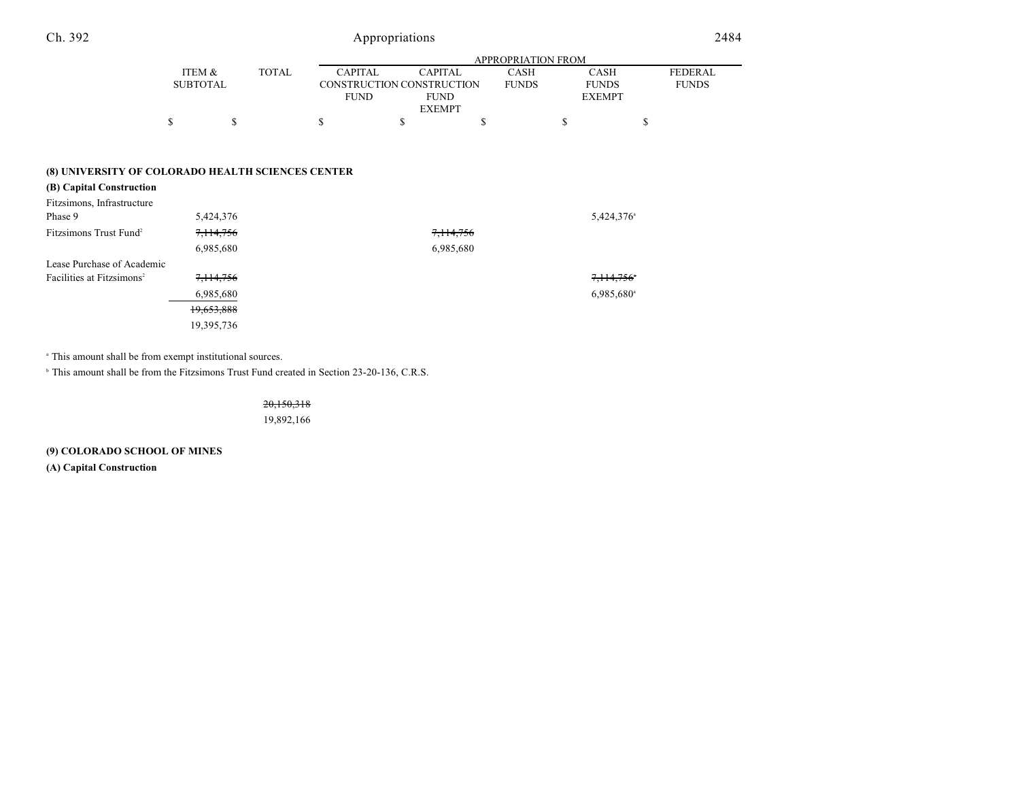|                 |              |                | APPROPRIATION FROM        |              |               |                |  |  |  |
|-----------------|--------------|----------------|---------------------------|--------------|---------------|----------------|--|--|--|
| ITEM &          | <b>TOTAL</b> | <b>CAPITAL</b> | <b>CAPITAL</b>            | CASH         | CASH          | <b>FEDERAL</b> |  |  |  |
| <b>SUBTOTAL</b> |              |                | CONSTRUCTION CONSTRUCTION | <b>FUNDS</b> | <b>FUNDS</b>  | <b>FUNDS</b>   |  |  |  |
|                 |              | FUND           | <b>FUND</b>               |              | <b>EXEMPT</b> |                |  |  |  |
|                 |              |                | <b>EXEMPT</b>             |              |               |                |  |  |  |
|                 |              |                |                           |              |               |                |  |  |  |

### **(8) UNIVERSITY OF COLORADO HEALTH SCIENCES CENTER**

| (B) Capital Construction              |            |           |                          |
|---------------------------------------|------------|-----------|--------------------------|
| Fitzsimons, Infrastructure            |            |           |                          |
| Phase 9                               | 5,424,376  |           | $5,424,376$ <sup>a</sup> |
| Fitzsimons Trust Fund <sup>2</sup>    | 7,114,756  | 7,114,756 |                          |
|                                       | 6,985,680  | 6,985,680 |                          |
| Lease Purchase of Academic            |            |           |                          |
| Facilities at Fitzsimons <sup>2</sup> | 7,114,756  |           | 7,114,756°               |
|                                       | 6,985,680  |           | $6,985,680$ <sup>a</sup> |
|                                       | 19,653,888 |           |                          |
|                                       | 19,395,736 |           |                          |

 $^{\circ}$  This amount shall be from exempt institutional sources.

<sup>b</sup> This amount shall be from the Fitzsimons Trust Fund created in Section 23-20-136, C.R.S.

20,150,318

19,892,166

## **(9) COLORADO SCHOOL OF MINES**

**(A) Capital Construction**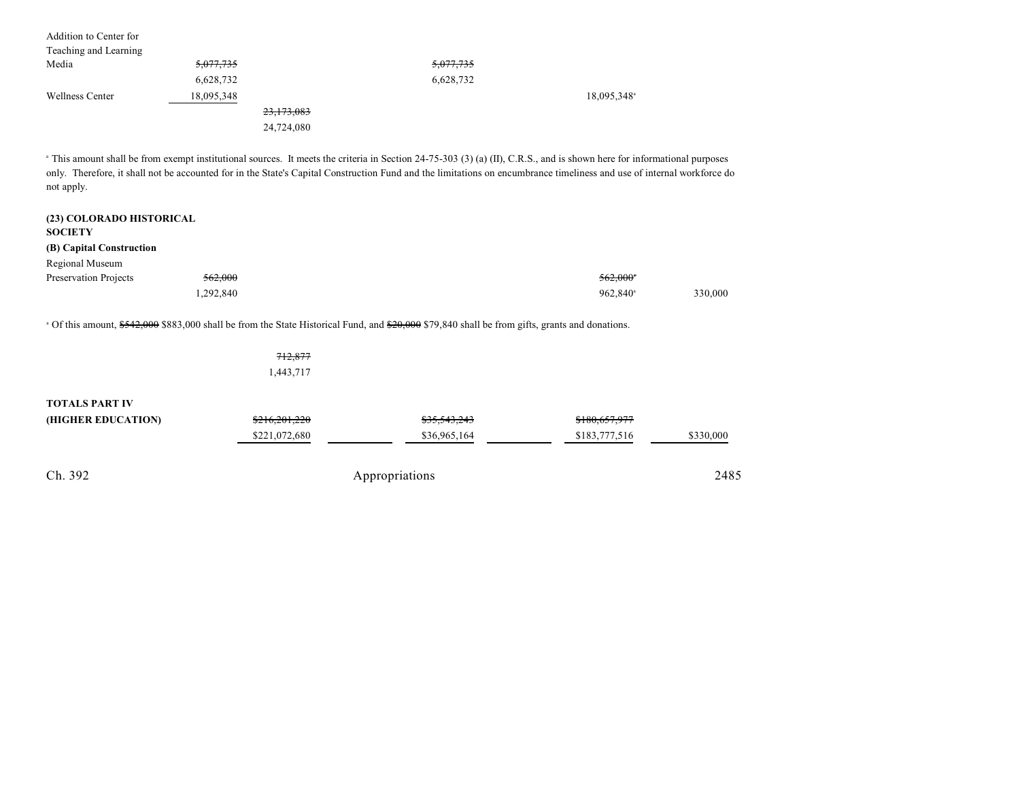| Addition to Center for |                      |            |                      |                         |
|------------------------|----------------------|------------|----------------------|-------------------------|
| Teaching and Learning  |                      |            |                      |                         |
| Media                  | <del>5,077,735</del> |            | <del>5,077,735</del> |                         |
|                        | 6,628,732            |            | 6,628,732            |                         |
| <b>Wellness Center</b> | 18,095,348           |            |                      | 18,095,348 <sup>a</sup> |
|                        |                      | 23,173,083 |                      |                         |
|                        |                      | 24,724,080 |                      |                         |

<sup>a</sup> This amount shall be from exempt institutional sources. It meets the criteria in Section 24-75-303 (3) (a) (II), C.R.S., and is shown here for informational purposes only. Therefore, it shall not be accounted for in the State's Capital Construction Fund and the limitations on encumbrance timeliness and use of internal workforce do not apply.

| (23) COLORADO HISTORICAL<br><b>SOCIETY</b> |           |                        |         |
|--------------------------------------------|-----------|------------------------|---------|
| (B) Capital Construction                   |           |                        |         |
| Regional Museum                            |           |                        |         |
| Preservation Projects                      | 562,000   | $562,000$ <sup>*</sup> |         |
|                                            | 1,292,840 | 962,840 <sup>a</sup>   | 330,000 |

<sup>a</sup> Of this amount, \$542,000 \$883,000 shall be from the State Historical Fund, and \$20,000 \$79,840 shall be from gifts, grants and donations.

|                       | 712,877       |                         |               |           |
|-----------------------|---------------|-------------------------|---------------|-----------|
|                       | 1,443,717     |                         |               |           |
| <b>TOTALS PART IV</b> |               |                         |               |           |
| (HIGHER EDUCATION)    | \$216,201,220 | <del>\$35,543,243</del> | \$180,657,977 |           |
|                       | \$221,072,680 | \$36,965,164            | \$183,777,516 | \$330,000 |
|                       |               |                         |               |           |
| Ch. 392               |               | Appropriations          |               | 2485      |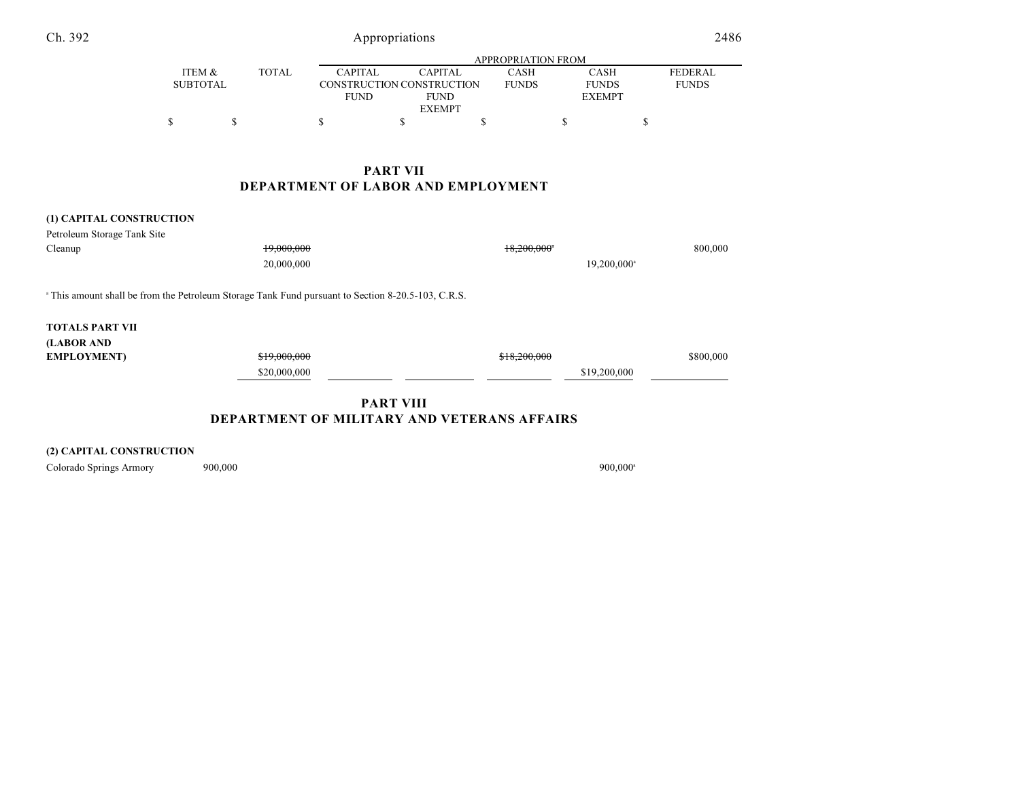| Ch. 392                                                                                                       |                           |              | Appropriations                                                                                               |             |                           |                                       | 2486                           |
|---------------------------------------------------------------------------------------------------------------|---------------------------|--------------|--------------------------------------------------------------------------------------------------------------|-------------|---------------------------|---------------------------------------|--------------------------------|
|                                                                                                               |                           |              |                                                                                                              |             | <b>APPROPRIATION FROM</b> |                                       |                                |
|                                                                                                               | ITEM &<br><b>SUBTOTAL</b> | <b>TOTAL</b> | <b>CAPITAL</b><br><b>CAPITAL</b><br>CONSTRUCTION CONSTRUCTION<br><b>FUND</b><br><b>FUND</b><br><b>EXEMPT</b> |             | CASH<br><b>FUNDS</b>      | CASH<br><b>FUNDS</b><br><b>EXEMPT</b> | <b>FEDERAL</b><br><b>FUNDS</b> |
|                                                                                                               | \$                        | \$           | \$<br>\$                                                                                                     | $\mathbf S$ |                           | \$                                    | \$                             |
|                                                                                                               |                           |              | <b>PART VII</b>                                                                                              |             |                           |                                       |                                |
|                                                                                                               |                           |              | DEPARTMENT OF LABOR AND EMPLOYMENT                                                                           |             |                           |                                       |                                |
| (1) CAPITAL CONSTRUCTION                                                                                      |                           |              |                                                                                                              |             |                           |                                       |                                |
| Petroleum Storage Tank Site                                                                                   |                           |              |                                                                                                              |             |                           |                                       |                                |
| Cleanup                                                                                                       |                           | 19,000,000   |                                                                                                              |             | 18,200,000*               |                                       | 800,000                        |
|                                                                                                               |                           | 20,000,000   |                                                                                                              |             |                           | 19,200,000 <sup>a</sup>               |                                |
| <sup>a</sup> This amount shall be from the Petroleum Storage Tank Fund pursuant to Section 8-20.5-103, C.R.S. |                           |              |                                                                                                              |             |                           |                                       |                                |
| <b>TOTALS PART VII</b>                                                                                        |                           |              |                                                                                                              |             |                           |                                       |                                |
| (LABOR AND                                                                                                    |                           |              |                                                                                                              |             |                           |                                       |                                |
| <b>EMPLOYMENT</b> )                                                                                           |                           | \$19,000,000 |                                                                                                              |             | \$18,200,000              |                                       | \$800,000                      |
|                                                                                                               |                           | \$20,000,000 |                                                                                                              |             |                           | \$19,200,000                          |                                |

**(2) CAPITAL CONSTRUCTION**

Colorado Springs Armory 900,000 900,000 900,000 900,000 900,000 900,000 900,000 900,000 900,000 900,000 900,000 900,000 900,000 900,000 900,000 900,000 900,000 900,000 900,000 900,000 900,000 900,000 900,000 900,000 900,00